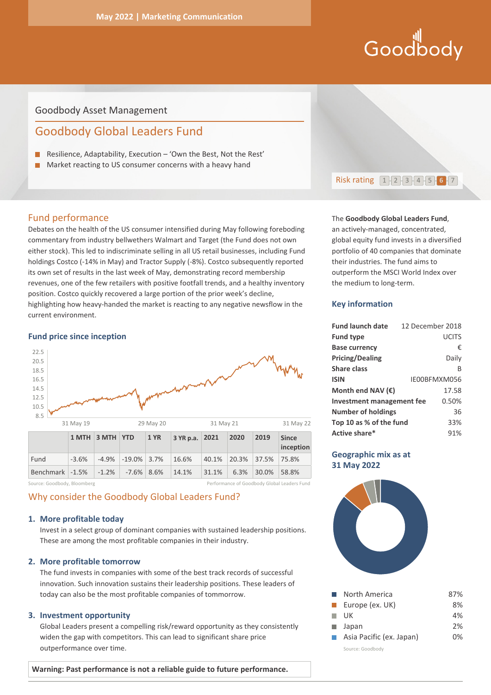# Hill<br>Goodbody

# Goodbody Asset Management

# Goodbody Global Leaders Fund

- Resilience, Adaptability, Execution 'Own the Best, Not the Rest'
- **Market reacting to US consumer concerns with a heavy hand**

# Fund performance

Debates on the health of the US consumer intensified during May following foreboding commentary from industry bellwethers Walmart and Target (the Fund does not own either stock). This led to indiscriminate selling in all US retail businesses, including Fund holdings Costco (-14% in May) and Tractor Supply (-8%). Costco subsequently reported its own set of results in the last week of May, demonstrating record membership revenues, one of the few retailers with positive footfall trends, and a healthy inventory position. Costco quickly recovered a large portion of the prior week's decline, highlighting how heavy-handed the market is reacting to any negative newsflow in the current environment.

#### **Fund price since inception**



Source: Goodbody, Bloomberg Performance of Goodbody Global Leaders Fund

# Why consider the Goodbody Global Leaders Fund?

#### **1. More profitable today**

Invest in a select group of dominant companies with sustained leadership positions. These are among the most profitable companies in their industry.

#### **2. More profitable tomorrow**

The fund invests in companies with some of the best track records of successful innovation. Such innovation sustains their leadership positions. These leaders of today can also be the most profitable companies of tommorrow.

#### **3. Investment opportunity**

Global Leaders present a compelling risk/reward opportunity as they consistently widen the gap with competitors. This can lead to significant share price outperformance over time.

**Warning: Past performance is not a reliable guide to future performance.** 



#### The **Goodbody Global Leaders Fund**,

an actively-managed, concentrated, global equity fund invests in a diversified portfolio of 40 companies that dominate their industries. The fund aims to outperform the MSCI World Index over the medium to long-term.

## **Key information**

| <b>Fund launch date</b>    | 12 December 2018 |              |
|----------------------------|------------------|--------------|
| <b>Fund type</b>           |                  | UCITS        |
| <b>Base currency</b>       |                  | €            |
| <b>Pricing/Dealing</b>     |                  | Daily        |
| <b>Share class</b>         |                  | R            |
| <b>ISIN</b>                |                  | IE00BFMXM056 |
| Month end NAV $(\epsilon)$ |                  | 17.58        |
| Investment management fee  |                  | 0.50%        |
| <b>Number of holdings</b>  |                  | 36           |
| Top 10 as % of the fund    |                  | 33%          |
| Active share*              |                  | 91%          |

## **Geographic mix as at 31 May 2022**



| l. | North America            | 87% |
|----|--------------------------|-----|
| m. | Europe (ex. UK)          | 8%  |
|    | UK                       | 4%  |
| m. | Japan                    | 2%  |
|    | Asia Pacific (ex. Japan) | በ%  |
|    | Source: Goodbody         |     |